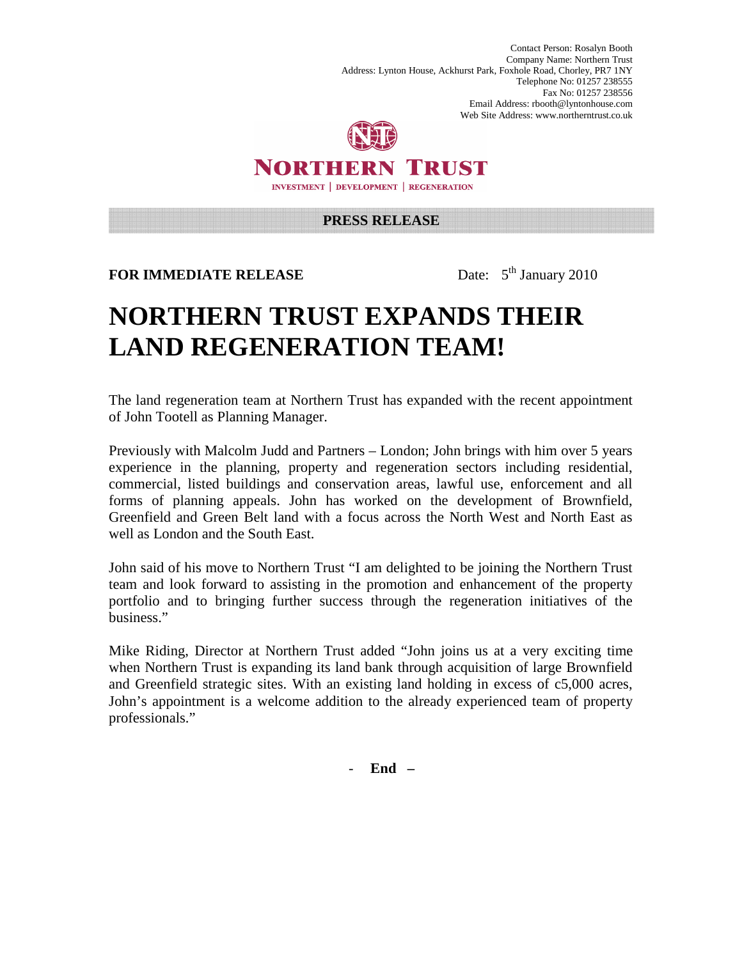Contact Person: Rosalyn Booth Company Name: Northern Trust Address: Lynton House, Ackhurst Park, Foxhole Road, Chorley, PR7 1NY Telephone No: 01257 238555 Fax No: 01257 238556 Email Address: rbooth@lyntonhouse.com Web Site Address: www.northerntrust.co.uk



NORTHERN TRUST **INVESTMENT | DEVELOPMENT | REGENERATION** 

## **PRESS RELEASE**

**FOR IMMEDIATE RELEASE** Date:  $5^{\text{th}}$  January 2010

## **NORTHERN TRUST EXPANDS THEIR LAND REGENERATION TEAM!**

The land regeneration team at Northern Trust has expanded with the recent appointment of John Tootell as Planning Manager.

Previously with Malcolm Judd and Partners – London; John brings with him over 5 years experience in the planning, property and regeneration sectors including residential, commercial, listed buildings and conservation areas, lawful use, enforcement and all forms of planning appeals. John has worked on the development of Brownfield, Greenfield and Green Belt land with a focus across the North West and North East as well as London and the South East.

John said of his move to Northern Trust "I am delighted to be joining the Northern Trust team and look forward to assisting in the promotion and enhancement of the property portfolio and to bringing further success through the regeneration initiatives of the business."

Mike Riding, Director at Northern Trust added "John joins us at a very exciting time when Northern Trust is expanding its land bank through acquisition of large Brownfield and Greenfield strategic sites. With an existing land holding in excess of c5,000 acres, John's appointment is a welcome addition to the already experienced team of property professionals."

- **End –**